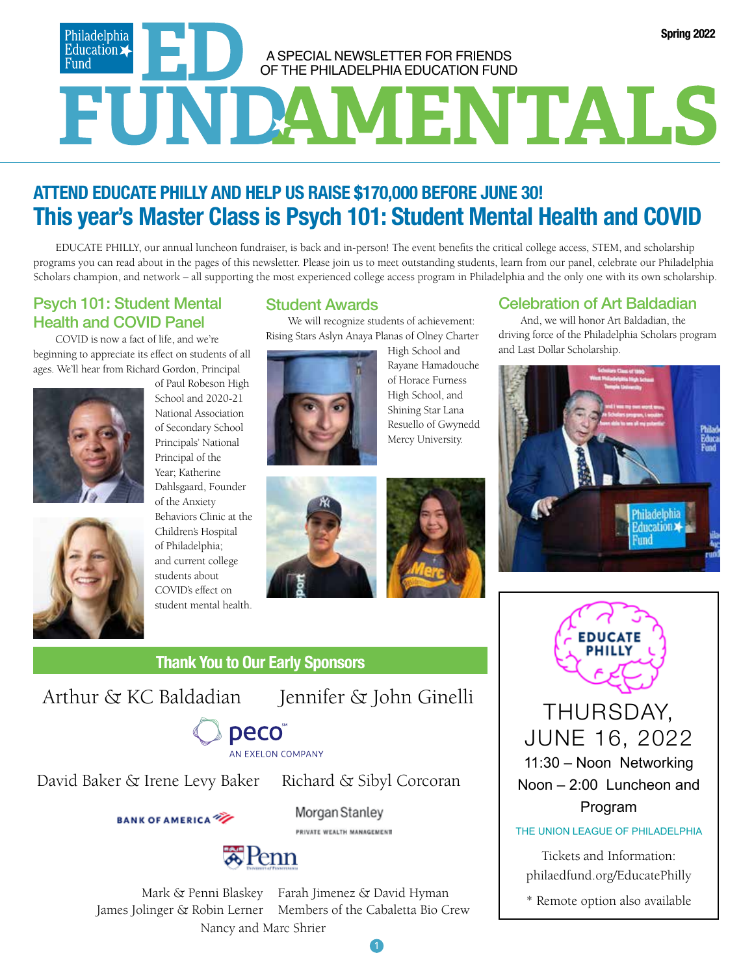### Philadelphia<br>Education **Spring 2022** A SPECIAL NEWSLETTER FOR FRIENDS Fund OF THE PHILADELPHIA EDUCATION FUND **FUNDAMENTALS**

### **ATTEND EDUCATE PHILLY AND HELP US RAISE \$170,000 BEFORE JUNE 30! This year's Master Class is Psych 101: Student Mental Health and COVID**

EDUCATE PHILLY, our annual luncheon fundraiser, is back and in-person! The event benefits the critical college access, STEM, and scholarship programs you can read about in the pages of this newsletter. Please join us to meet outstanding students, learn from our panel, celebrate our Philadelphia Scholars champion, and network – all supporting the most experienced college access program in Philadelphia and the only one with its own scholarship.

### Psych 101: Student Mental Health and COVID Panel

COVID is now a fact of life, and we're beginning to appreciate its effect on students of all ages. We'll hear from Richard Gordon, Principal



of Paul Robeson High School and 2020-21 National Association of Secondary School Principals' National Principal of the Year; Katherine Dahlsgaard, Founder of the Anxiety Behaviors Clinic at the Children's Hospital

of Philadelphia; and current college students about COVID's effect on student mental health.

### Student Awards

We will recognize students of achievement: Rising Stars Aslyn Anaya Planas of Olney Charter



High School and Rayane Hamadouche of Horace Furness High School, and Shining Star Lana Resuello of Gwynedd Mercy University.





### **Thank You to Our Early Sponsors**

1

## AN EXELON COMPANY

David Baker & Irene Levy Baker Richard & Sibyl Corcoran

### **BANK OF AMERICA**

Morgan Stanley PRIVATE WEALTH MANAGEMENT



Mark & Penni Blaskey James Jolinger & Robin Lerner Farah Jimenez & David Hyman Members of the Cabaletta Bio Crew Nancy and Marc Shrier

### Celebration of Art Baldadian

And, we will honor Art Baldadian, the driving force of the Philadelphia Scholars program and Last Dollar Scholarship.





Arthur & KC Baldadian Jennifer & John Ginelli **THURSDAY**, JUNE 16, 2022 11:30 – Noon Networking Noon – 2:00 Luncheon and Program

THE UNION LEAGUE OF PHILADELPHIA

Tickets and Information: philaedfund.org/EducatePhilly

\* Remote option also available

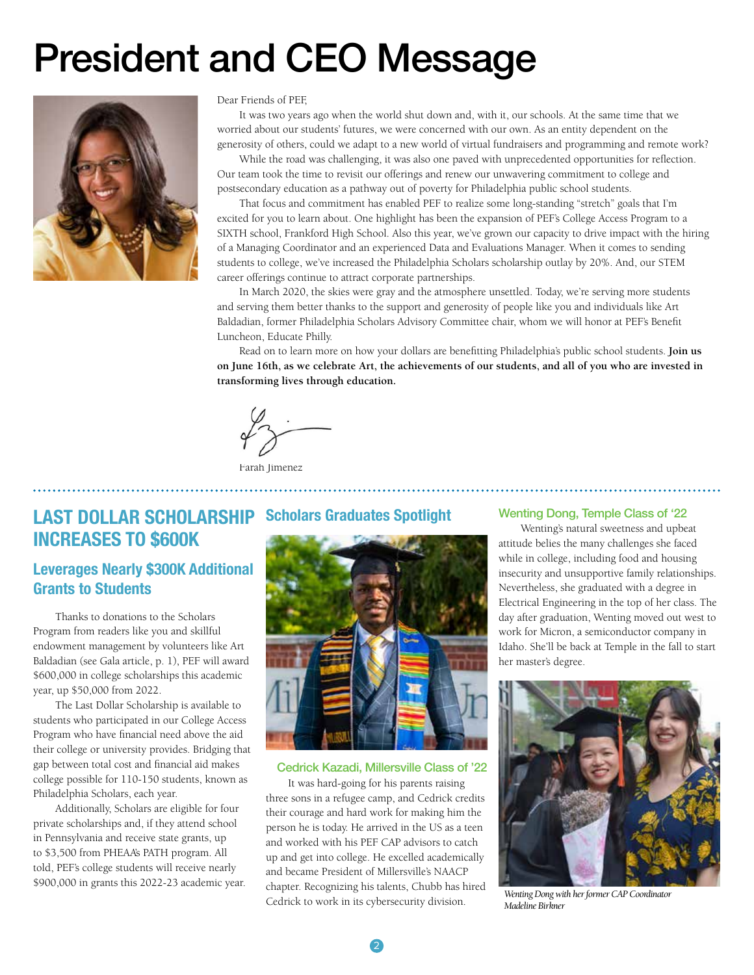# President and CEO Message



#### Dear Friends of PEF,

It was two years ago when the world shut down and, with it, our schools. At the same time that we worried about our students' futures, we were concerned with our own. As an entity dependent on the generosity of others, could we adapt to a new world of virtual fundraisers and programming and remote work?

While the road was challenging, it was also one paved with unprecedented opportunities for reflection. Our team took the time to revisit our offerings and renew our unwavering commitment to college and postsecondary education as a pathway out of poverty for Philadelphia public school students.

That focus and commitment has enabled PEF to realize some long-standing "stretch" goals that I'm excited for you to learn about. One highlight has been the expansion of PEF's College Access Program to a SIXTH school, Frankford High School. Also this year, we've grown our capacity to drive impact with the hiring of a Managing Coordinator and an experienced Data and Evaluations Manager. When it comes to sending students to college, we've increased the Philadelphia Scholars scholarship outlay by 20%. And, our STEM career offerings continue to attract corporate partnerships.

In March 2020, the skies were gray and the atmosphere unsettled. Today, we're serving more students and serving them better thanks to the support and generosity of people like you and individuals like Art Baldadian, former Philadelphia Scholars Advisory Committee chair, whom we will honor at PEF's Benefit Luncheon, Educate Philly.

Read on to learn more on how your dollars are benefitting Philadelphia's public school students. **Join us on June 16th, as we celebrate Art, the achievements of our students, and all of you who are invested in transforming lives through education.**

. . . . . . . . .

Farah Jimenez

### **LAST DOLLAR SCHOLARSHIP INCREASES TO \$600K Scholars Graduates Spotlight**

### **Leverages Nearly \$300K Additional Grants to Students**

Thanks to donations to the Scholars Program from readers like you and skillful endowment management by volunteers like Art Baldadian (see Gala article, p. 1), PEF will award \$600,000 in college scholarships this academic year, up \$50,000 from 2022.

The Last Dollar Scholarship is available to students who participated in our College Access Program who have financial need above the aid their college or university provides. Bridging that gap between total cost and financial aid makes college possible for 110-150 students, known as Philadelphia Scholars, each year.

Additionally, Scholars are eligible for four private scholarships and, if they attend school in Pennsylvania and receive state grants, up to \$3,500 from PHEAA's PATH program. All told, PEF's college students will receive nearly \$900,000 in grants this 2022-23 academic year.



#### Cedrick Kazadi, Millersville Class of '22

It was hard-going for his parents raising three sons in a refugee camp, and Cedrick credits their courage and hard work for making him the person he is today. He arrived in the US as a teen and worked with his PEF CAP advisors to catch up and get into college. He excelled academically and became President of Millersville's NAACP chapter. Recognizing his talents, Chubb has hired Cedrick to work in its cybersecurity division.

#### Wenting Dong, Temple Class of '22

Wenting's natural sweetness and upbeat attitude belies the many challenges she faced while in college, including food and housing insecurity and unsupportive family relationships. Nevertheless, she graduated with a degree in Electrical Engineering in the top of her class. The day after graduation, Wenting moved out west to work for Micron, a semiconductor company in Idaho. She'll be back at Temple in the fall to start her master's degree.



*Wenting Dong with her former CAP Coordinator Madeline Birkner*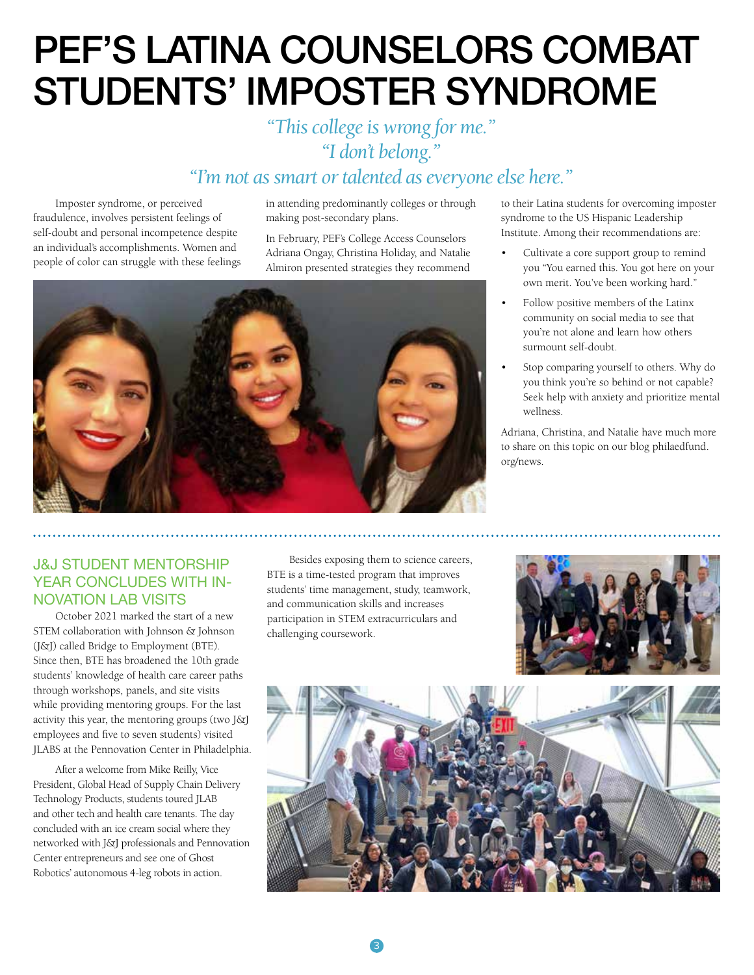## PEF'S LATINA COUNSELORS COMBAT STUDENTS' IMPOSTER SYNDROME

### *"This college is wrong for me." "I don't belong." "I'm not as smart or talented as everyone else here."*

Imposter syndrome, or perceived fraudulence, involves persistent feelings of self-doubt and personal incompetence despite an individual's accomplishments. Women and people of color can struggle with these feelings

in attending predominantly colleges or through making post-secondary plans.

In February, PEF's College Access Counselors Adriana Ongay, Christina Holiday, and Natalie Almiron presented strategies they recommend



to their Latina students for overcoming imposter syndrome to the US Hispanic Leadership Institute. Among their recommendations are:

- Cultivate a core support group to remind you "You earned this. You got here on your own merit. You've been working hard."
- Follow positive members of the Latinx community on social media to see that you're not alone and learn how others surmount self-doubt.
- Stop comparing yourself to others. Why do you think you're so behind or not capable? Seek help with anxiety and prioritize mental wellness.

Adriana, Christina, and Natalie have much more to share on this topic on our blog philaedfund. org/news.

### J&J STUDENT MENTORSHIP YEAR CONCLUDES WITH IN-NOVATION LAB VISITS

October 2021 marked the start of a new STEM collaboration with Johnson & Johnson (J&J) called Bridge to Employment (BTE). Since then, BTE has broadened the 10th grade students' knowledge of health care career paths through workshops, panels, and site visits while providing mentoring groups. For the last activity this year, the mentoring groups (two J&J employees and five to seven students) visited JLABS at the Pennovation Center in Philadelphia.

After a welcome from Mike Reilly, Vice President, Global Head of Supply Chain Delivery Technology Products, students toured JLAB and other tech and health care tenants. The day concluded with an ice cream social where they networked with J&J professionals and Pennovation Center entrepreneurs and see one of Ghost Robotics' autonomous 4-leg robots in action.

Besides exposing them to science careers, BTE is a time-tested program that improves students' time management, study, teamwork, and communication skills and increases participation in STEM extracurriculars and challenging coursework.



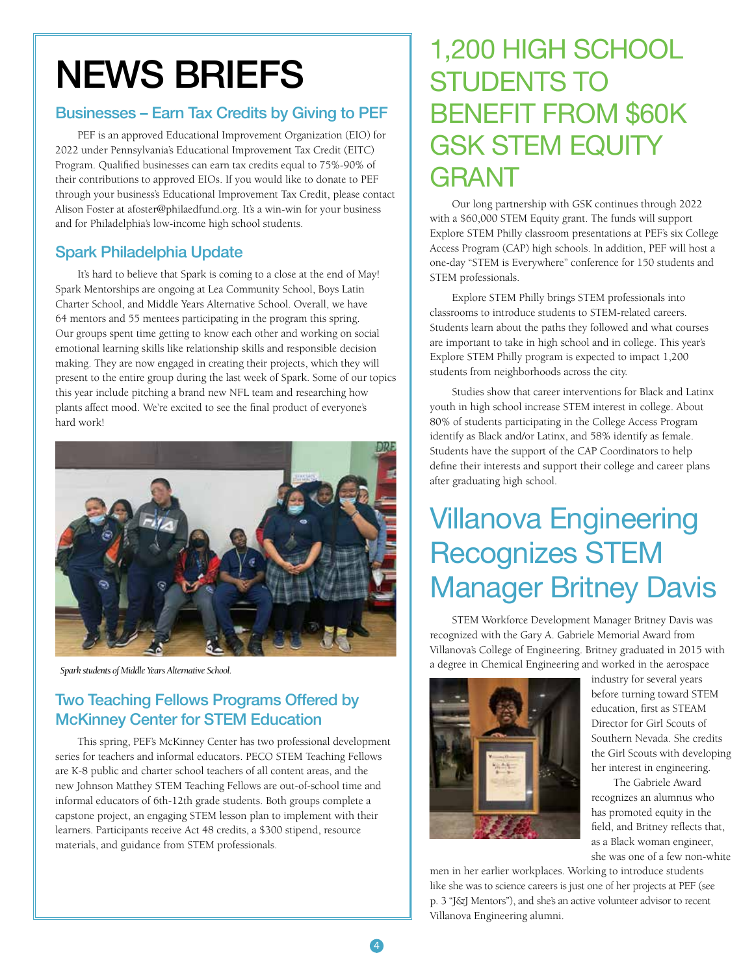## NEWS BRIEFS

### Businesses – Earn Tax Credits by Giving to PEF

PEF is an approved Educational Improvement Organization (EIO) for 2022 under Pennsylvania's Educational Improvement Tax Credit (EITC) Program. Qualified businesses can earn tax credits equal to 75%-90% of their contributions to approved EIOs. If you would like to donate to PEF through your business's Educational Improvement Tax Credit, please contact Alison Foster at afoster@philaedfund.org. It's a win-win for your business and for Philadelphia's low-income high school students.

### Spark Philadelphia Update

It's hard to believe that Spark is coming to a close at the end of May! Spark Mentorships are ongoing at Lea Community School, Boys Latin Charter School, and Middle Years Alternative School. Overall, we have 64 mentors and 55 mentees participating in the program this spring. Our groups spent time getting to know each other and working on social emotional learning skills like relationship skills and responsible decision making. They are now engaged in creating their projects, which they will present to the entire group during the last week of Spark. Some of our topics this year include pitching a brand new NFL team and researching how plants affect mood. We're excited to see the final product of everyone's hard work!



*Spark students of Middle Years Alternative School.*

### Two Teaching Fellows Programs Offered by McKinney Center for STEM Education

This spring, PEF's McKinney Center has two professional development series for teachers and informal educators. PECO STEM Teaching Fellows are K-8 public and charter school teachers of all content areas, and the new Johnson Matthey STEM Teaching Fellows are out-of-school time and informal educators of 6th-12th grade students. Both groups complete a capstone project, an engaging STEM lesson plan to implement with their learners. Participants receive Act 48 credits, a \$300 stipend, resource materials, and guidance from STEM professionals.

## 1,200 HIGH SCHOOL STUDENTS TO BENEFIT FROM \$60K GSK STEM EQUITY GRANT

Our long partnership with GSK continues through 2022 with a \$60,000 STEM Equity grant. The funds will support Explore STEM Philly classroom presentations at PEF's six College Access Program (CAP) high schools. In addition, PEF will host a one-day "STEM is Everywhere" conference for 150 students and STEM professionals.

Explore STEM Philly brings STEM professionals into classrooms to introduce students to STEM-related careers. Students learn about the paths they followed and what courses are important to take in high school and in college. This year's Explore STEM Philly program is expected to impact 1,200 students from neighborhoods across the city.

Studies show that career interventions for Black and Latinx youth in high school increase STEM interest in college. About 80% of students participating in the College Access Program identify as Black and/or Latinx, and 58% identify as female. Students have the support of the CAP Coordinators to help define their interests and support their college and career plans after graduating high school.

## Villanova Engineering Recognizes STEM Manager Britney Davis

STEM Workforce Development Manager Britney Davis was recognized with the Gary A. Gabriele Memorial Award from Villanova's College of Engineering. Britney graduated in 2015 with a degree in Chemical Engineering and worked in the aerospace



industry for several years before turning toward STEM education, first as STEAM Director for Girl Scouts of Southern Nevada. She credits the Girl Scouts with developing her interest in engineering.

The Gabriele Award recognizes an alumnus who has promoted equity in the field, and Britney reflects that, as a Black woman engineer, she was one of a few non-white

men in her earlier workplaces. Working to introduce students like she was to science careers is just one of her projects at PEF (see p. 3 "J&J Mentors"), and she's an active volunteer advisor to recent Villanova Engineering alumni.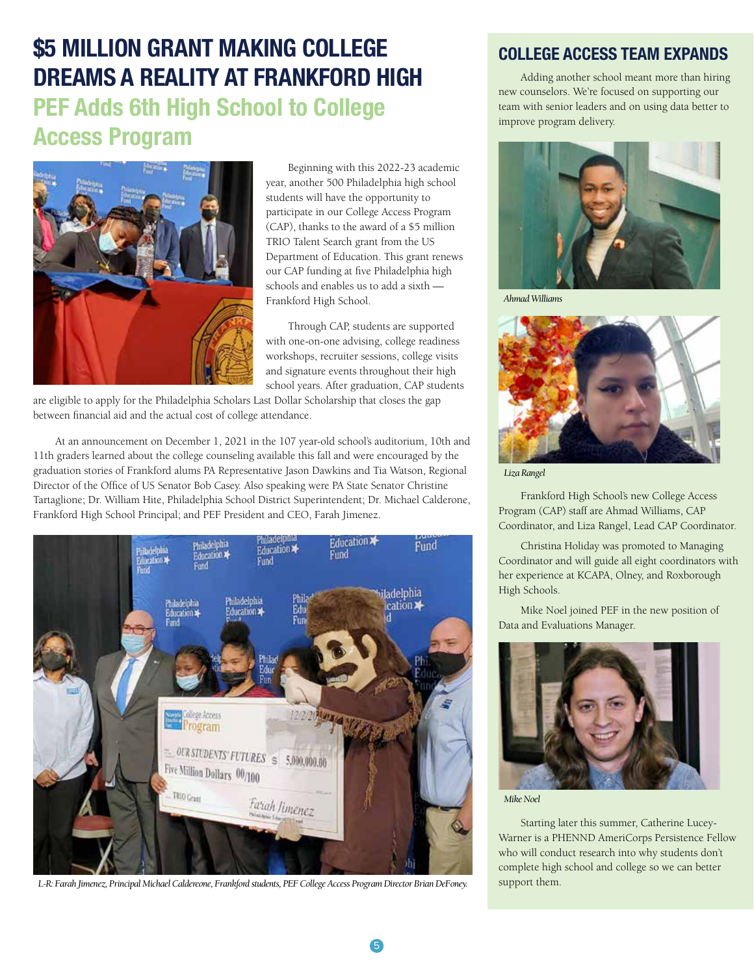### **\$5 MILLION GRANT MAKING COLLEGE DREAMS A REALITY AT FRANKFORD HIGH PEF Adds 6th High School to College**

### **Access Program**



Beginning with this 2022-23 academic year, another 500 Philadelphia high school students will have the opportunity to participate in our College Access Program (CAP), thanks to the award of a \$5 million TRIO Talent Search grant from the US Department of Education. This grant renews our CAP funding at five Philadelphia high schools and enables us to add a sixth — Frankford High School.

Through CAP, students are supported with one-on-one advising, college readiness workshops, recruiter sessions, college visits and signature events throughout their high school years. After graduation, CAP students

are eligible to apply for the Philadelphia Scholars Last Dollar Scholarship that closes the gap between financial aid and the actual cost of college attendance.

At an announcement on December 1, 2021 in the 107 year-old school's auditorium, 10th and 11th graders learned about the college counseling available this fall and were encouraged by the graduation stories of Frankford alums PA Representative Jason Dawkins and Tia Watson, Regional Director of the Office of US Senator Bob Casey. Also speaking were PA State Senator Christine Tartaglione; Dr. William Hite, Philadelphia School District Superintendent; Dr. Michael Calderone, Frankford High School Principal; and PEF President and CEO, Farah Jimenez.



*L-R: Farah Jimenez, Principal Michael Caldereone, Frankford students, PEF College Access Program Director Brian DeFoney.* support them.

### **COLLEGE ACCESS TEAM EXPANDS**

Adding another school meant more than hiring new counselors. We're focused on supporting our team with senior leaders and on using data better to improve program delivery.



*Ahmad Williams*



*Liza Rangel*

Frankford High School's new College Access Program (CAP) staff are Ahmad Williams, CAP Coordinator, and Liza Rangel, Lead CAP Coordinator.

Christina Holiday was promoted to Managing Coordinator and will guide all eight coordinators with her experience at KCAPA, Olney, and Roxborough High Schools.

Mike Noel joined PEF in the new position of Data and Evaluations Manager.



*Mike Noel*

Starting later this summer, Catherine Lucey-Warner is a PHENND AmeriCorps Persistence Fellow who will conduct research into why students don't complete high school and college so we can better